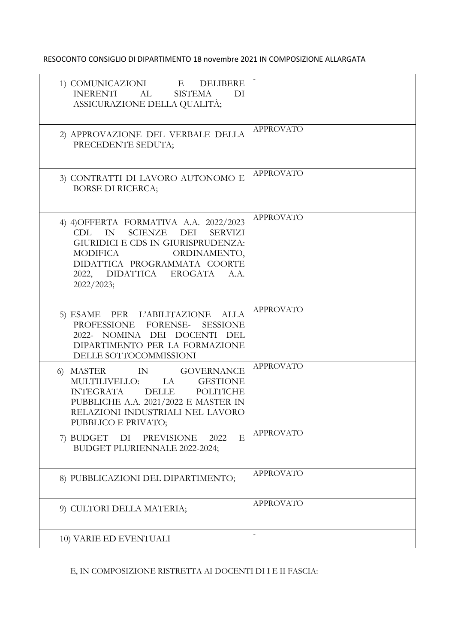RESOCONTO CONSIGLIO DI DIPARTIMENTO 18 novembre 2021 IN COMPOSIZIONE ALLARGATA

| 1) COMUNICAZIONI $\quad$ E $\quad$ DELIBERE<br><b>INERENTI</b><br>AL<br><b>SISTEMA</b><br>DI<br>ASSICURAZIONE DELLA QUALITÀ;                                                                                                                              |                  |
|-----------------------------------------------------------------------------------------------------------------------------------------------------------------------------------------------------------------------------------------------------------|------------------|
| 2) APPROVAZIONE DEL VERBALE DELLA<br>PRECEDENTE SEDUTA;                                                                                                                                                                                                   | <b>APPROVATO</b> |
| 3) CONTRATTI DI LAVORO AUTONOMO E<br><b>BORSE DI RICERCA;</b>                                                                                                                                                                                             | <b>APPROVATO</b> |
| 4) 4) OFFERTA FORMATIVA A.A. 2022/2023<br>IN<br>SCIENZE<br>DEI<br><b>SERVIZI</b><br>CDL.<br><b>GIURIDICI E CDS IN GIURISPRUDENZA:</b><br>ORDINAMENTO,<br><b>MODIFICA</b><br>DIDATTICA PROGRAMMATA COORTE<br>2022, DIDATTICA EROGATA<br>A.A.<br>2022/2023; | <b>APPROVATO</b> |
| 5) ESAME PER L'ABILITAZIONE ALLA<br>PROFESSIONE FORENSE- SESSIONE<br>2022- NOMINA DEI DOCENTI DEL<br>DIPARTIMENTO PER LA FORMAZIONE<br>DELLE SOTTOCOMMISSIONI                                                                                             | <b>APPROVATO</b> |
| 6) MASTER IN GOVERNANCE<br>MULTILIVELLO: LA GESTIONE<br><b>INTEGRATA</b><br><b>DELLE</b><br><b>POLITICHE</b><br>PUBBLICHE A.A. 2021/2022 E MASTER IN<br>RELAZIONI INDUSTRIALI NEL LAVORO<br>PUBBLICO E PRIVATO;                                           | <b>APPROVATO</b> |
| E<br>7) BUDGET DI<br>PREVISIONE<br>2022<br>BUDGET PLURIENNALE 2022-2024;                                                                                                                                                                                  | <b>APPROVATO</b> |
| 8) PUBBLICAZIONI DEL DIPARTIMENTO;                                                                                                                                                                                                                        | <b>APPROVATO</b> |
| 9) CULTORI DELLA MATERIA;                                                                                                                                                                                                                                 | <b>APPROVATO</b> |
| 10) VARIE ED EVENTUALI                                                                                                                                                                                                                                    |                  |

E, IN COMPOSIZIONE RISTRETTA AI DOCENTI DI I E II FASCIA: